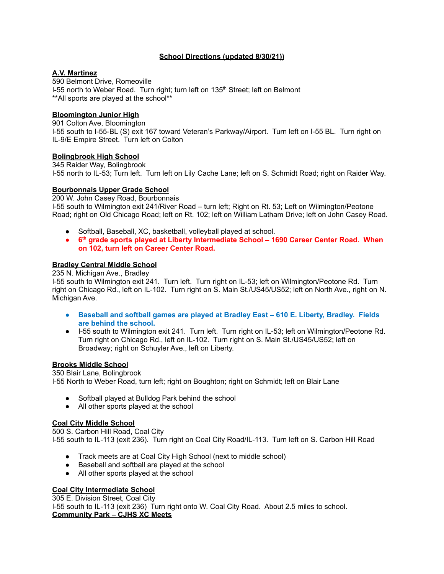# **School Directions (updated 8/30/21))**

# **A.V. Martinez**

590 Belmont Drive, Romeoville I-55 north to Weber Road. Turn right; turn left on 135<sup>th</sup> Street; left on Belmont \*\*All sports are played at the school\*\*

# **Bloomington Junior High**

901 Colton Ave, Bloomington I-55 south to I-55-BL (S) exit 167 toward Veteran's Parkway/Airport. Turn left on I-55 BL. Turn right on IL-9/E Empire Street. Turn left on Colton

# **Bolingbrook High School**

345 Raider Way, Bolingbrook I-55 north to IL-53; Turn left. Turn left on Lily Cache Lane; left on S. Schmidt Road; right on Raider Way.

# **Bourbonnais Upper Grade School**

200 W. John Casey Road, Bourbonnais

I-55 south to Wilmington exit 241/River Road – turn left; Right on Rt. 53; Left on Wilmington/Peotone Road; right on Old Chicago Road; left on Rt. 102; left on William Latham Drive; left on John Casey Road.

- Softball, Baseball, XC, basketball, volleyball played at school.
- **● 6 th grade sports played at Liberty Intermediate School – 1690 Career Center Road. When on 102, turn left on Career Center Road.**

# **Bradley Central Middle School**

235 N. Michigan Ave., Bradley

I-55 south to Wilmington exit 241. Turn left. Turn right on IL-53; left on Wilmington/Peotone Rd. Turn right on Chicago Rd., left on IL-102. Turn right on S. Main St./US45/US52; left on North Ave., right on N. Michigan Ave.

- **● Baseball and softball games are played at Bradley East – 610 E. Liberty, Bradley. Fields are behind the school.**
- I-55 south to Wilmington exit 241. Turn left. Turn right on IL-53; left on Wilmington/Peotone Rd. Turn right on Chicago Rd., left on IL-102. Turn right on S. Main St./US45/US52; left on Broadway; right on Schuyler Ave., left on Liberty.

# **Brooks Middle School**

350 Blair Lane, Bolingbrook I-55 North to Weber Road, turn left; right on Boughton; right on Schmidt; left on Blair Lane

- Softball played at Bulldog Park behind the school
- All other sports played at the school

# **Coal City Middle School**

500 S. Carbon Hill Road, Coal City I-55 south to IL-113 (exit 236). Turn right on Coal City Road/IL-113. Turn left on S. Carbon Hill Road

- Track meets are at Coal City High School (next to middle school)
- Baseball and softball are played at the school
- All other sports played at the school

# **Coal City Intermediate School**

305 E. Division Street, Coal City I-55 south to IL-113 (exit 236) Turn right onto W. Coal City Road. About 2.5 miles to school. **Community Park – CJHS XC Meets**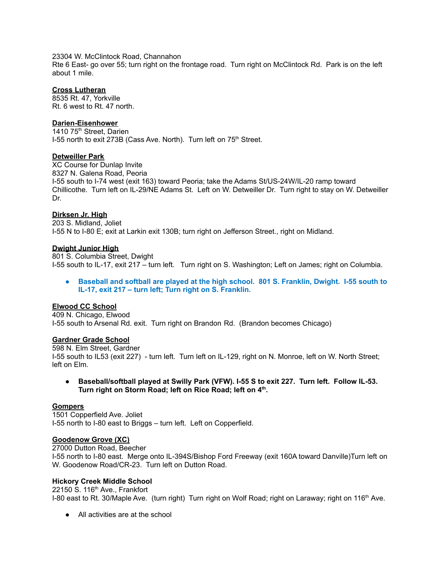23304 W. McClintock Road, Channahon

Rte 6 East- go over 55; turn right on the frontage road. Turn right on McClintock Rd. Park is on the left about 1 mile.

# **Cross Lutheran**

8535 Rt. 47, Yorkville Rt. 6 west to Rt. 47 north.

# **Darien-Eisenhower**

1410 75<sup>th</sup> Street, Darien I-55 north to exit 273B (Cass Ave. North). Turn left on 75<sup>th</sup> Street.

# **Detweiller Park**

XC Course for Dunlap Invite 8327 N. Galena Road, Peoria I-55 south to I-74 west (exit 163) toward Peoria; take the Adams St/US-24W/IL-20 ramp toward Chillicothe. Turn left on IL-29/NE Adams St. Left on W. Detweiller Dr. Turn right to stay on W. Detweiller Dr.

# **Dirksen Jr. High**

203 S. Midland, Joliet I-55 N to I-80 E; exit at Larkin exit 130B; turn right on Jefferson Street., right on Midland.

# **Dwight Junior High**

801 S. Columbia Street, Dwight I-55 south to IL-17, exit 217 – turn left. Turn right on S. Washington; Left on James; right on Columbia.

**● Baseball and softball are played at the high school. 801 S. Franklin, Dwight. I-55 south to IL-17, exit 217 – turn left; Turn right on S. Franklin.**

# **Elwood CC School**

409 N. Chicago, Elwood I-55 south to Arsenal Rd. exit. Turn right on Brandon Rd. (Brandon becomes Chicago)

# **Gardner Grade School**

598 N. Elm Street, Gardner I-55 south to IL53 (exit 227) - turn left. Turn left on IL-129, right on N. Monroe, left on W. North Street; left on Elm.

**● Baseball/softball played at Swilly Park (VFW). I-55 S to exit 227. Turn left. Follow IL-53. Turn right on Storm Road; left on Rice Road; left on 4 th .**

# **Gompers**

1501 Copperfield Ave. Joliet I-55 north to I-80 east to Briggs – turn left. Left on Copperfield.

# **Goodenow Grove (XC)**

27000 Dutton Road, Beecher I-55 north to I-80 east. Merge onto IL-394S/Bishop Ford Freeway (exit 160A toward Danville)Turn left on W. Goodenow Road/CR-23. Turn left on Dutton Road.

# **Hickory Creek Middle School**

22150 S. 116<sup>th</sup> Ave., Frankfort I-80 east to Rt. 30/Maple Ave. (turn right) Turn right on Wolf Road; right on Laraway; right on 116<sup>th</sup> Ave.

● All activities are at the school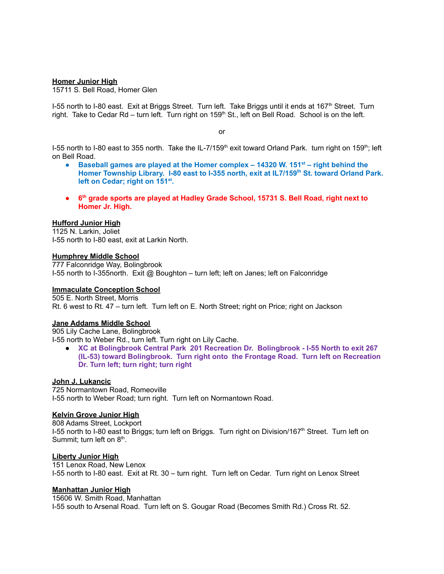#### **Homer Junior High**

15711 S. Bell Road, Homer Glen

I-55 north to I-80 east. Exit at Briggs Street. Turn left. Take Briggs until it ends at 167<sup>th</sup> Street. Turn right. Take to Cedar Rd – turn left. Turn right on 159<sup>th</sup> St., left on Bell Road. School is on the left.

or

I-55 north to I-80 east to 355 north. Take the IL-7/159<sup>th</sup> exit toward Orland Park. turn right on 159<sup>th</sup>; left on Bell Road.

- **● Baseball games are played at the Homer complex – 14320 W. 151 st – right behind the Homer Township Library. I-80 east to I-355 north, exit at IL7/159 th St. toward Orland Park. left on Cedar; right on 151 st .**
- **● 6 th grade sports are played at Hadley Grade School, 15731 S. Bell Road, right next to Homer Jr. High.**

#### **Hufford Junior High**

1125 N. Larkin, Joliet I-55 north to I-80 east, exit at Larkin North.

#### **Humphrey Middle School**

777 Falconridge Way, Bolingbrook I-55 north to I-355north. Exit @ Boughton – turn left; left on Janes; left on Falconridge

# **Immaculate Conception School**

505 E. North Street, Morris Rt. 6 west to Rt. 47 – turn left. Turn left on E. North Street; right on Price; right on Jackson

#### **Jane Addams Middle School**

905 Lily Cache Lane, Bolingbrook

I-55 north to Weber Rd., turn left. Turn right on Lily Cache.

● **XC at Bolingbrook Central Park 201 Recreation Dr. Bolingbrook - I-55 North to exit 267 (IL-53) toward Bolingbrook. Turn right onto the Frontage Road. Turn left on Recreation Dr. Turn left; turn right; turn right**

# **John J. Lukancic**

725 Normantown Road, Romeoville I-55 north to Weber Road; turn right. Turn left on Normantown Road.

#### **Kelvin Grove Junior High**

808 Adams Street, Lockport I-55 north to I-80 east to Briggs; turn left on Briggs. Turn right on Division/167<sup>th</sup> Street. Turn left on Summit; turn left on 8<sup>th</sup>.

#### **Liberty Junior High**

151 Lenox Road, New Lenox I-55 north to I-80 east. Exit at Rt. 30 – turn right. Turn left on Cedar. Turn right on Lenox Street

#### **Manhattan Junior High**

15606 W. Smith Road, Manhattan I-55 south to Arsenal Road. Turn left on S. Gougar Road (Becomes Smith Rd.) Cross Rt. 52.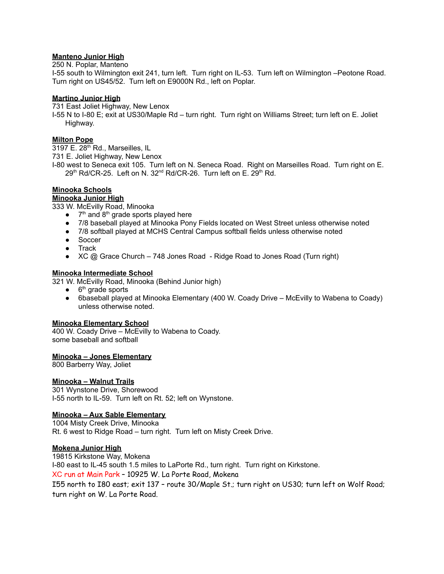# **Manteno Junior High**

250 N. Poplar, Manteno

I-55 south to Wilmington exit 241, turn left. Turn right on IL-53. Turn left on Wilmington –Peotone Road. Turn right on US45/52. Turn left on E9000N Rd., left on Poplar.

# **Martino Junior High**

731 East Joliet Highway, New Lenox

I-55 N to I-80 E; exit at US30/Maple Rd – turn right. Turn right on Williams Street; turn left on E. Joliet Highway.

# **Milton Pope**

3197 E. 28<sup>th</sup> Rd., Marseilles, IL

731 E. Joliet Highway, New Lenox

I-80 west to Seneca exit 105. Turn left on N. Seneca Road. Right on Marseilles Road. Turn right on E. 29th Rd/CR-25. Left on N. 32<sup>nd</sup> Rd/CR-26. Turn left on E. 29th Rd.

# **Minooka Schools**

# **Minooka Junior High**

333 W. McEvilly Road, Minooka

- $\bullet$  7<sup>th</sup> and 8<sup>th</sup> grade sports played here
- 7/8 baseball played at Minooka Pony Fields located on West Street unless otherwise noted
- 7/8 softball played at MCHS Central Campus softball fields unless otherwise noted
- Soccer
- Track
- XC @ Grace Church 748 Jones Road Ridge Road to Jones Road (Turn right)

# **Minooka Intermediate School**

321 W. McEvilly Road, Minooka (Behind Junior high)

- $\bullet$  6<sup>th</sup> grade sports
- 6baseball played at Minooka Elementary (400 W. Coady Drive McEvilly to Wabena to Coady) unless otherwise noted.

# **Minooka Elementary School**

400 W. Coady Drive – McEvilly to Wabena to Coady. some baseball and softball

# **Minooka – Jones Elementary**

800 Barberry Way, Joliet

# **Minooka – Walnut Trails**

301 Wynstone Drive, Shorewood I-55 north to IL-59. Turn left on Rt. 52; left on Wynstone.

# **Minooka – Aux Sable Elementary**

1004 Misty Creek Drive, Minooka Rt. 6 west to Ridge Road – turn right. Turn left on Misty Creek Drive.

# **Mokena Junior High**

19815 Kirkstone Way, Mokena I-80 east to IL-45 south 1.5 miles to LaPorte Rd., turn right. Turn right on Kirkstone. XC run at Main Park – 10925 W. La Porte Road, Mokena I55 north to I80 east; exit 137 – route 30/Maple St.; turn right on US30; turn left on Wolf Road;

turn right on W. La Porte Road.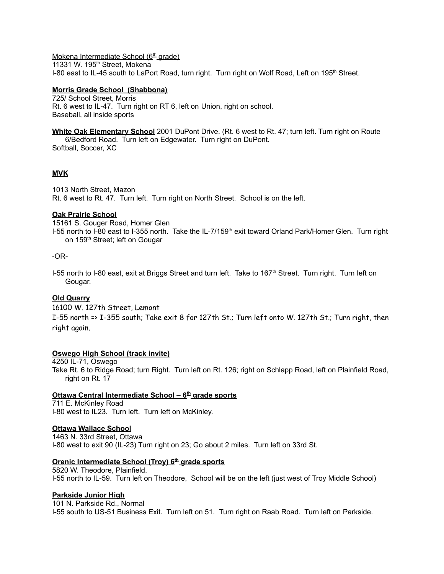Mokena Intermediate School (6<sup>th</sup> grade) 11331 W. 195<sup>th</sup> Street, Mokena I-80 east to IL-45 south to LaPort Road, turn right. Turn right on Wolf Road, Left on 195<sup>th</sup> Street.

# **Morris Grade School (Shabbona)**

725/ School Street, Morris Rt. 6 west to IL-47. Turn right on RT 6, left on Union, right on school. Baseball, all inside sports

**White Oak Elementary School** 2001 DuPont Drive. (Rt. 6 west to Rt. 47; turn left. Turn right on Route 6/Bedford Road. Turn left on Edgewater. Turn right on DuPont. Softball, Soccer, XC

# **MVK**

1013 North Street, Mazon Rt. 6 west to Rt. 47. Turn left. Turn right on North Street. School is on the left.

# **Oak Prairie School**

15161 S. Gouger Road, Homer Glen I-55 north to I-80 east to I-355 north. Take the IL-7/159<sup>th</sup> exit toward Orland Park/Homer Glen. Turn right on 159<sup>th</sup> Street; left on Gougar

-OR-

I-55 north to I-80 east, exit at Briggs Street and turn left. Take to 167<sup>th</sup> Street. Turn right. Turn left on Gougar.

# **Old Quarry**

16100 W. 127th Street, Lemont

I-55 north => I-355 south; Take exit 8 for 127th St.; Turn left onto W. 127th St.; Turn right, then right again.

# **Oswego High School (track invite)**

4250 IL-71, Oswego

Take Rt. 6 to Ridge Road; turn Right. Turn left on Rt. 126; right on Schlapp Road, left on Plainfield Road, right on Rt. 17

# **Ottawa Central Intermediate School – 6 th grade sports**

711 E. McKinley Road I-80 west to IL23. Turn left. Turn left on McKinley.

# **Ottawa Wallace School**

1463 N. 33rd Street, Ottawa I-80 west to exit 90 (IL-23) Turn right on 23; Go about 2 miles. Turn left on 33rd St.

# **Orenic Intermediate School (Troy) 6 th grade sports**

5820 W. Theodore, Plainfield. I-55 north to IL-59. Turn left on Theodore, School will be on the left (just west of Troy Middle School)

# **Parkside Junior High**

101 N. Parkside Rd., Normal I-55 south to US-51 Business Exit. Turn left on 51. Turn right on Raab Road. Turn left on Parkside.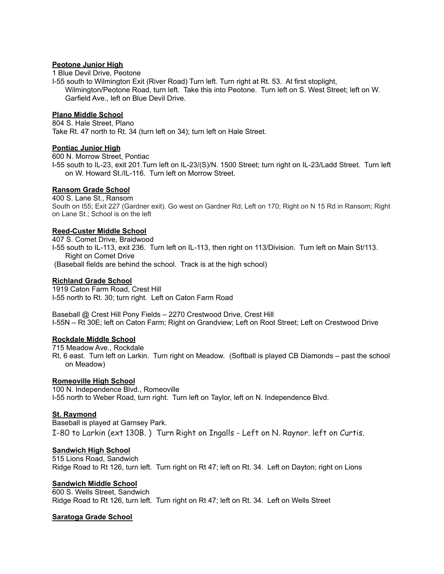# **Peotone Junior High**

1 Blue Devil Drive, Peotone

I-55 south to Wilmington Exit (River Road) Turn left. Turn right at Rt. 53. At first stoplight, Wilmington/Peotone Road, turn left. Take this into Peotone. Turn left on S. West Street; left on W. Garfield Ave., left on Blue Devil Drive.

#### **Plano Middle School**

804 S. Hale Street, Plano Take Rt. 47 north to Rt. 34 (turn left on 34); turn left on Hale Street.

# **Pontiac Junior High**

600 N. Morrow Street, Pontiac

I-55 south to IL-23, exit 201.Turn left on IL-23/(S)/N. 1500 Street; turn right on IL-23/Ladd Street. Turn left on W. Howard St./IL-116. Turn left on Morrow Street.

# **Ransom Grade School**

400 S. Lane St., Ransom South on I55; Exit 227 (Gardner exit). Go west on Gardner Rd; Left on 170; Right on N 15 Rd in Ransom; Right on Lane St.; School is on the left

# **Reed-Custer Middle School**

407 S. Comet Drive, Braidwood I-55 south to IL-113, exit 236. Turn left on IL-113, then right on 113/Division. Turn left on Main St/113. Right on Comet Drive (Baseball fields are behind the school. Track is at the high school)

# **Richland Grade School**

1919 Caton Farm Road, Crest Hill I-55 north to Rt. 30; turn right. Left on Caton Farm Road

Baseball @ Crest Hill Pony Fields – 2270 Crestwood Drive, Crest Hill I-55N – Rt 30E; left on Caton Farm; Right on Grandview; Left on Root Street; Left on Crestwood Drive

# **Rockdale Middle School**

715 Meadow Ave., Rockdale

Rt, 6 east. Turn left on Larkin. Turn right on Meadow. (Softball is played CB Diamonds – past the school on Meadow)

# **Romeoville High School**

100 N. Independence Blvd., Romeoville I-55 north to Weber Road, turn right. Turn left on Taylor, left on N. Independence Blvd.

# **St. Raymond**

Baseball is played at Garnsey Park. I-80 to Larkin (ext 130B. ) Turn Right on Ingalls - Left on N. Raynor. left on Curtis.

# **Sandwich High School**

515 Lions Road, Sandwich Ridge Road to Rt 126, turn left. Turn right on Rt 47; left on Rt. 34. Left on Dayton; right on Lions

# **Sandwich Middle School**

600 S. Wells Street, Sandwich Ridge Road to Rt 126, turn left. Turn right on Rt 47; left on Rt. 34. Left on Wells Street

# **Saratoga Grade School**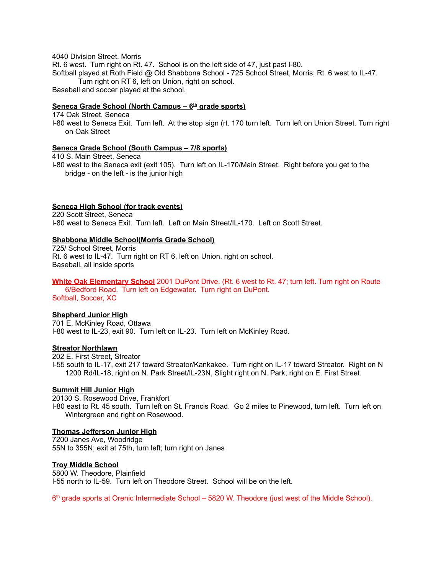4040 Division Street, Morris

Rt. 6 west. Turn right on Rt. 47. School is on the left side of 47, just past I-80. Softball played at Roth Field @ Old Shabbona School - 725 School Street, Morris; Rt. 6 west to IL-47. Turn right on RT 6, left on Union, right on school. Baseball and soccer played at the school.

# **Seneca Grade School (North Campus – 6 th grade sports)**

174 Oak Street, Seneca

I-80 west to Seneca Exit. Turn left. At the stop sign (rt. 170 turn left. Turn left on Union Street. Turn right on Oak Street

# **Seneca Grade School (South Campus – 7/8 sports)**

410 S. Main Street, Seneca

I-80 west to the Seneca exit (exit 105). Turn left on IL-170/Main Street. Right before you get to the bridge - on the left - is the junior high

# **Seneca High School (for track events)**

220 Scott Street, Seneca I-80 west to Seneca Exit. Turn left. Left on Main Street/IL-170. Left on Scott Street.

# **Shabbona Middle School(Morris Grade School)**

725/ School Street, Morris Rt. 6 west to IL-47. Turn right on RT 6, left on Union, right on school. Baseball, all inside sports

#### **White Oak Elementary School** 2001 DuPont Drive. (Rt. 6 west to Rt. 47; turn left. Turn right on Route 6/Bedford Road. Turn left on Edgewater. Turn right on DuPont.

Softball, Soccer, XC

# **Shepherd Junior High**

701 E. McKinley Road, Ottawa I-80 west to IL-23, exit 90. Turn left on IL-23. Turn left on McKinley Road.

# **Streator Northlawn**

202 E. First Street, Streator

I-55 south to IL-17, exit 217 toward Streator/Kankakee. Turn right on IL-17 toward Streator. Right on N 1200 Rd/IL-18, right on N. Park Street/IL-23N, Slight right on N. Park; right on E. First Street.

# **Summit Hill Junior High**

20130 S. Rosewood Drive, Frankfort I-80 east to Rt. 45 south. Turn left on St. Francis Road. Go 2 miles to Pinewood, turn left. Turn left on Wintergreen and right on Rosewood.

# **Thomas Jefferson Junior High**

7200 Janes Ave, Woodridge 55N to 355N; exit at 75th, turn left; turn right on Janes

# **Troy Middle School**

5800 W. Theodore, Plainfield I-55 north to IL-59. Turn left on Theodore Street. School will be on the left.

6<sup>th</sup> grade sports at Orenic Intermediate School – 5820 W. Theodore (just west of the Middle School).